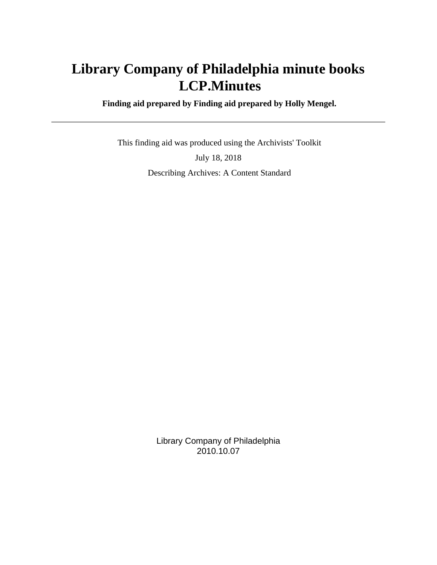# **Library Company of Philadelphia minute books LCP.Minutes**

 **Finding aid prepared by Finding aid prepared by Holly Mengel.**

 This finding aid was produced using the Archivists' Toolkit July 18, 2018 Describing Archives: A Content Standard

> Library Company of Philadelphia 2010.10.07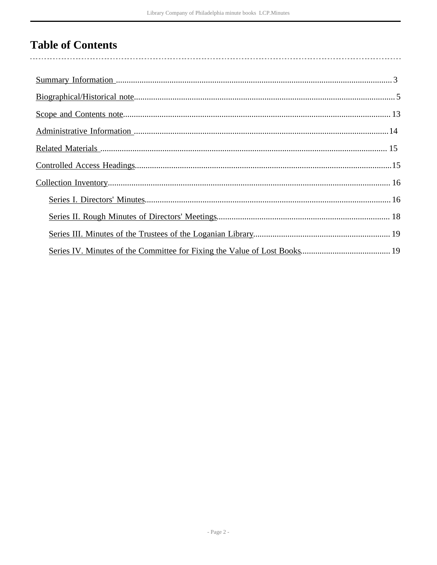# **Table of Contents**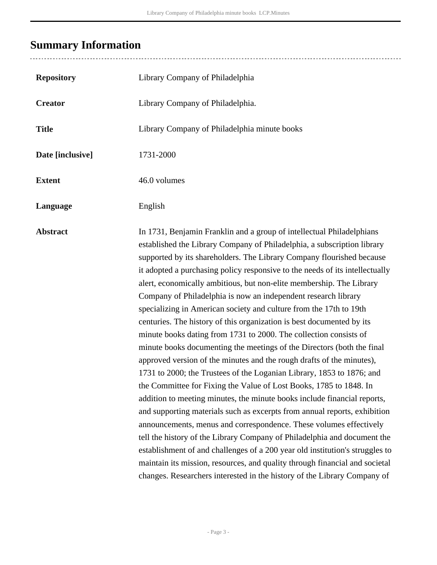# <span id="page-2-0"></span>**Summary Information**

| <b>Repository</b> | Library Company of Philadelphia                                                                                                                                                                                                                                                                                                                                                                                                                                                                                                                                                                                                                                                                                                                                                                                                                                                                                                                                                                                                                                                                                                                                                                                                                                                                                                                                                                                                                                                                                                 |
|-------------------|---------------------------------------------------------------------------------------------------------------------------------------------------------------------------------------------------------------------------------------------------------------------------------------------------------------------------------------------------------------------------------------------------------------------------------------------------------------------------------------------------------------------------------------------------------------------------------------------------------------------------------------------------------------------------------------------------------------------------------------------------------------------------------------------------------------------------------------------------------------------------------------------------------------------------------------------------------------------------------------------------------------------------------------------------------------------------------------------------------------------------------------------------------------------------------------------------------------------------------------------------------------------------------------------------------------------------------------------------------------------------------------------------------------------------------------------------------------------------------------------------------------------------------|
| <b>Creator</b>    | Library Company of Philadelphia.                                                                                                                                                                                                                                                                                                                                                                                                                                                                                                                                                                                                                                                                                                                                                                                                                                                                                                                                                                                                                                                                                                                                                                                                                                                                                                                                                                                                                                                                                                |
| <b>Title</b>      | Library Company of Philadelphia minute books                                                                                                                                                                                                                                                                                                                                                                                                                                                                                                                                                                                                                                                                                                                                                                                                                                                                                                                                                                                                                                                                                                                                                                                                                                                                                                                                                                                                                                                                                    |
| Date [inclusive]  | 1731-2000                                                                                                                                                                                                                                                                                                                                                                                                                                                                                                                                                                                                                                                                                                                                                                                                                                                                                                                                                                                                                                                                                                                                                                                                                                                                                                                                                                                                                                                                                                                       |
| <b>Extent</b>     | 46.0 volumes                                                                                                                                                                                                                                                                                                                                                                                                                                                                                                                                                                                                                                                                                                                                                                                                                                                                                                                                                                                                                                                                                                                                                                                                                                                                                                                                                                                                                                                                                                                    |
| Language          | English                                                                                                                                                                                                                                                                                                                                                                                                                                                                                                                                                                                                                                                                                                                                                                                                                                                                                                                                                                                                                                                                                                                                                                                                                                                                                                                                                                                                                                                                                                                         |
| <b>Abstract</b>   | In 1731, Benjamin Franklin and a group of intellectual Philadelphians<br>established the Library Company of Philadelphia, a subscription library<br>supported by its shareholders. The Library Company flourished because<br>it adopted a purchasing policy responsive to the needs of its intellectually<br>alert, economically ambitious, but non-elite membership. The Library<br>Company of Philadelphia is now an independent research library<br>specializing in American society and culture from the 17th to 19th<br>centuries. The history of this organization is best documented by its<br>minute books dating from 1731 to 2000. The collection consists of<br>minute books documenting the meetings of the Directors (both the final<br>approved version of the minutes and the rough drafts of the minutes),<br>1731 to 2000; the Trustees of the Loganian Library, 1853 to 1876; and<br>the Committee for Fixing the Value of Lost Books, 1785 to 1848. In<br>addition to meeting minutes, the minute books include financial reports,<br>and supporting materials such as excerpts from annual reports, exhibition<br>announcements, menus and correspondence. These volumes effectively<br>tell the history of the Library Company of Philadelphia and document the<br>establishment of and challenges of a 200 year old institution's struggles to<br>maintain its mission, resources, and quality through financial and societal<br>changes. Researchers interested in the history of the Library Company of |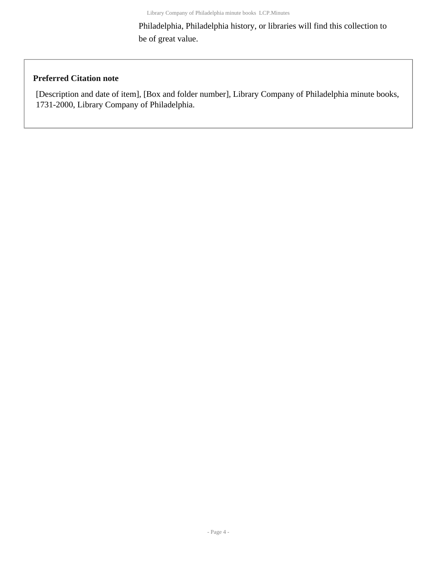Philadelphia, Philadelphia history, or libraries will find this collection to be of great value.

### **Preferred Citation note**

[Description and date of item], [Box and folder number], Library Company of Philadelphia minute books, 1731-2000, Library Company of Philadelphia.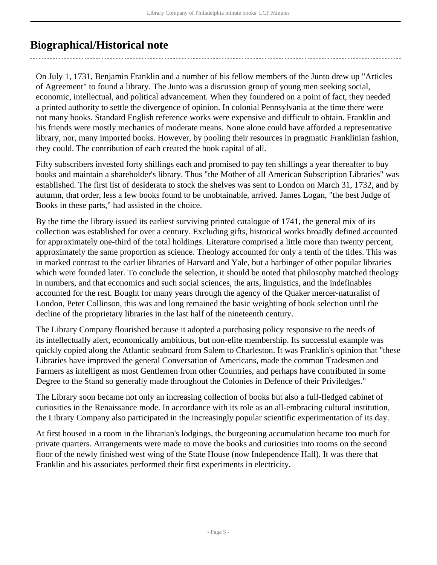# <span id="page-4-0"></span>**Biographical/Historical note**

On July 1, 1731, Benjamin Franklin and a number of his fellow members of the Junto drew up "Articles of Agreement" to found a library. The Junto was a discussion group of young men seeking social, economic, intellectual, and political advancement. When they foundered on a point of fact, they needed a printed authority to settle the divergence of opinion. In colonial Pennsylvania at the time there were not many books. Standard English reference works were expensive and difficult to obtain. Franklin and his friends were mostly mechanics of moderate means. None alone could have afforded a representative library, nor, many imported books. However, by pooling their resources in pragmatic Franklinian fashion, they could. The contribution of each created the book capital of all.

Fifty subscribers invested forty shillings each and promised to pay ten shillings a year thereafter to buy books and maintain a shareholder's library. Thus "the Mother of all American Subscription Libraries" was established. The first list of desiderata to stock the shelves was sent to London on March 31, 1732, and by autumn, that order, less a few books found to be unobtainable, arrived. James Logan, "the best Judge of Books in these parts," had assisted in the choice.

By the time the library issued its earliest surviving printed catalogue of 1741, the general mix of its collection was established for over a century. Excluding gifts, historical works broadly defined accounted for approximately one-third of the total holdings. Literature comprised a little more than twenty percent, approximately the same proportion as science. Theology accounted for only a tenth of the titles. This was in marked contrast to the earlier libraries of Harvard and Yale, but a harbinger of other popular libraries which were founded later. To conclude the selection, it should be noted that philosophy matched theology in numbers, and that economics and such social sciences, the arts, linguistics, and the indefinables accounted for the rest. Bought for many years through the agency of the Quaker mercer-naturalist of London, Peter Collinson, this was and long remained the basic weighting of book selection until the decline of the proprietary libraries in the last half of the nineteenth century.

The Library Company flourished because it adopted a purchasing policy responsive to the needs of its intellectually alert, economically ambitious, but non-elite membership. Its successful example was quickly copied along the Atlantic seaboard from Salem to Charleston. It was Franklin's opinion that "these Libraries have improved the general Conversation of Americans, made the common Tradesmen and Farmers as intelligent as most Gentlemen from other Countries, and perhaps have contributed in some Degree to the Stand so generally made throughout the Colonies in Defence of their Priviledges."

The Library soon became not only an increasing collection of books but also a full-fledged cabinet of curiosities in the Renaissance mode. In accordance with its role as an all-embracing cultural institution, the Library Company also participated in the increasingly popular scientific experimentation of its day.

At first housed in a room in the librarian's lodgings, the burgeoning accumulation became too much for private quarters. Arrangements were made to move the books and curiosities into rooms on the second floor of the newly finished west wing of the State House (now Independence Hall). It was there that Franklin and his associates performed their first experiments in electricity.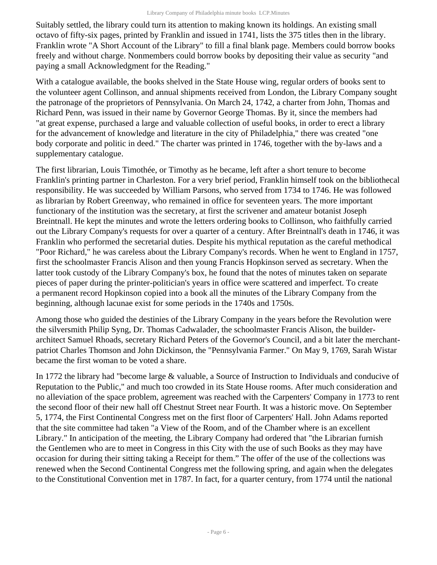Suitably settled, the library could turn its attention to making known its holdings. An existing small octavo of fifty-six pages, printed by Franklin and issued in 1741, lists the 375 titles then in the library. Franklin wrote "A Short Account of the Library" to fill a final blank page. Members could borrow books freely and without charge. Nonmembers could borrow books by depositing their value as security "and paying a small Acknowledgment for the Reading."

With a catalogue available, the books shelved in the State House wing, regular orders of books sent to the volunteer agent Collinson, and annual shipments received from London, the Library Company sought the patronage of the proprietors of Pennsylvania. On March 24, 1742, a charter from John, Thomas and Richard Penn, was issued in their name by Governor George Thomas. By it, since the members had "at great expense, purchased a large and valuable collection of useful books, in order to erect a library for the advancement of knowledge and literature in the city of Philadelphia," there was created "one body corporate and politic in deed." The charter was printed in 1746, together with the by-laws and a supplementary catalogue.

The first librarian, Louis Timothée, or Timothy as he became, left after a short tenure to become Franklin's printing partner in Charleston. For a very brief period, Franklin himself took on the bibliothecal responsibility. He was succeeded by William Parsons, who served from 1734 to 1746. He was followed as librarian by Robert Greenway, who remained in office for seventeen years. The more important functionary of the institution was the secretary, at first the scrivener and amateur botanist Joseph Breintnall. He kept the minutes and wrote the letters ordering books to Collinson, who faithfully carried out the Library Company's requests for over a quarter of a century. After Breintnall's death in 1746, it was Franklin who performed the secretarial duties. Despite his mythical reputation as the careful methodical "Poor Richard," he was careless about the Library Company's records. When he went to England in 1757, first the schoolmaster Francis Alison and then young Francis Hopkinson served as secretary. When the latter took custody of the Library Company's box, he found that the notes of minutes taken on separate pieces of paper during the printer-politician's years in office were scattered and imperfect. To create a permanent record Hopkinson copied into a book all the minutes of the Library Company from the beginning, although lacunae exist for some periods in the 1740s and 1750s.

Among those who guided the destinies of the Library Company in the years before the Revolution were the silversmith Philip Syng, Dr. Thomas Cadwalader, the schoolmaster Francis Alison, the builderarchitect Samuel Rhoads, secretary Richard Peters of the Governor's Council, and a bit later the merchantpatriot Charles Thomson and John Dickinson, the "Pennsylvania Farmer." On May 9, 1769, Sarah Wistar became the first woman to be voted a share.

In 1772 the library had "become large & valuable, a Source of Instruction to Individuals and conducive of Reputation to the Public," and much too crowded in its State House rooms. After much consideration and no alleviation of the space problem, agreement was reached with the Carpenters' Company in 1773 to rent the second floor of their new hall off Chestnut Street near Fourth. It was a historic move. On September 5, 1774, the First Continental Congress met on the first floor of Carpenters' Hall. John Adams reported that the site committee had taken "a View of the Room, and of the Chamber where is an excellent Library." In anticipation of the meeting, the Library Company had ordered that "the Librarian furnish the Gentlemen who are to meet in Congress in this City with the use of such Books as they may have occasion for during their sitting taking a Receipt for them." The offer of the use of the collections was renewed when the Second Continental Congress met the following spring, and again when the delegates to the Constitutional Convention met in 1787. In fact, for a quarter century, from 1774 until the national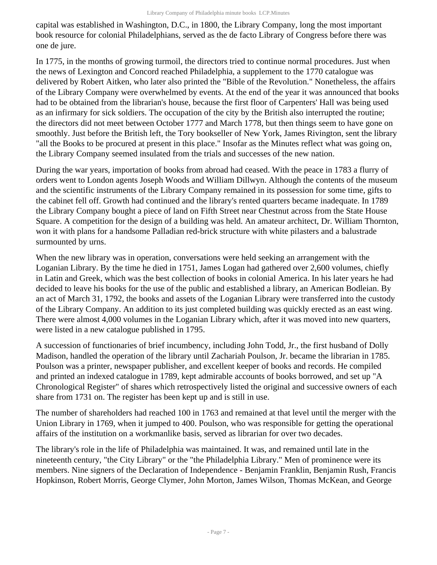capital was established in Washington, D.C., in 1800, the Library Company, long the most important book resource for colonial Philadelphians, served as the de facto Library of Congress before there was one de jure.

In 1775, in the months of growing turmoil, the directors tried to continue normal procedures. Just when the news of Lexington and Concord reached Philadelphia, a supplement to the 1770 catalogue was delivered by Robert Aitken, who later also printed the "Bible of the Revolution." Nonetheless, the affairs of the Library Company were overwhelmed by events. At the end of the year it was announced that books had to be obtained from the librarian's house, because the first floor of Carpenters' Hall was being used as an infirmary for sick soldiers. The occupation of the city by the British also interrupted the routine; the directors did not meet between October 1777 and March 1778, but then things seem to have gone on smoothly. Just before the British left, the Tory bookseller of New York, James Rivington, sent the library "all the Books to be procured at present in this place." Insofar as the Minutes reflect what was going on, the Library Company seemed insulated from the trials and successes of the new nation.

During the war years, importation of books from abroad had ceased. With the peace in 1783 a flurry of orders went to London agents Joseph Woods and William Dillwyn. Although the contents of the museum and the scientific instruments of the Library Company remained in its possession for some time, gifts to the cabinet fell off. Growth had continued and the library's rented quarters became inadequate. In 1789 the Library Company bought a piece of land on Fifth Street near Chestnut across from the State House Square. A competition for the design of a building was held. An amateur architect, Dr. William Thornton, won it with plans for a handsome Palladian red-brick structure with white pilasters and a balustrade surmounted by urns.

When the new library was in operation, conversations were held seeking an arrangement with the Loganian Library. By the time he died in 1751, James Logan had gathered over 2,600 volumes, chiefly in Latin and Greek, which was the best collection of books in colonial America. In his later years he had decided to leave his books for the use of the public and established a library, an American Bodleian. By an act of March 31, 1792, the books and assets of the Loganian Library were transferred into the custody of the Library Company. An addition to its just completed building was quickly erected as an east wing. There were almost 4,000 volumes in the Loganian Library which, after it was moved into new quarters, were listed in a new catalogue published in 1795.

A succession of functionaries of brief incumbency, including John Todd, Jr., the first husband of Dolly Madison, handled the operation of the library until Zachariah Poulson, Jr. became the librarian in 1785. Poulson was a printer, newspaper publisher, and excellent keeper of books and records. He compiled and printed an indexed catalogue in 1789, kept admirable accounts of books borrowed, and set up "A Chronological Register" of shares which retrospectively listed the original and successive owners of each share from 1731 on. The register has been kept up and is still in use.

The number of shareholders had reached 100 in 1763 and remained at that level until the merger with the Union Library in 1769, when it jumped to 400. Poulson, who was responsible for getting the operational affairs of the institution on a workmanlike basis, served as librarian for over two decades.

The library's role in the life of Philadelphia was maintained. It was, and remained until late in the nineteenth century, "the City Library" or the "the Philadelphia Library." Men of prominence were its members. Nine signers of the Declaration of Independence - Benjamin Franklin, Benjamin Rush, Francis Hopkinson, Robert Morris, George Clymer, John Morton, James Wilson, Thomas McKean, and George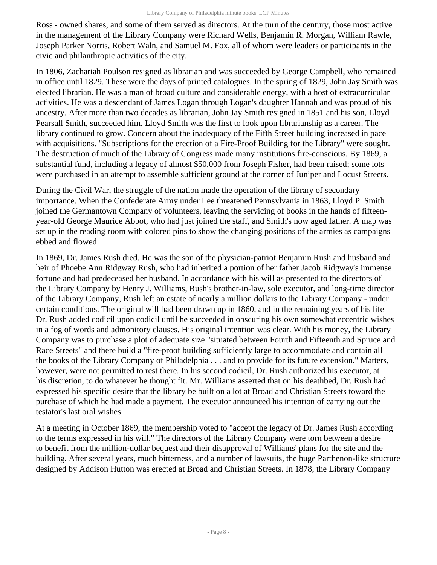Ross - owned shares, and some of them served as directors. At the turn of the century, those most active in the management of the Library Company were Richard Wells, Benjamin R. Morgan, William Rawle, Joseph Parker Norris, Robert Waln, and Samuel M. Fox, all of whom were leaders or participants in the civic and philanthropic activities of the city.

In 1806, Zachariah Poulson resigned as librarian and was succeeded by George Campbell, who remained in office until 1829. These were the days of printed catalogues. In the spring of 1829, John Jay Smith was elected librarian. He was a man of broad culture and considerable energy, with a host of extracurricular activities. He was a descendant of James Logan through Logan's daughter Hannah and was proud of his ancestry. After more than two decades as librarian, John Jay Smith resigned in 1851 and his son, Lloyd Pearsall Smith, succeeded him. Lloyd Smith was the first to look upon librarianship as a career. The library continued to grow. Concern about the inadequacy of the Fifth Street building increased in pace with acquisitions. "Subscriptions for the erection of a Fire-Proof Building for the Library" were sought. The destruction of much of the Library of Congress made many institutions fire-conscious. By 1869, a substantial fund, including a legacy of almost \$50,000 from Joseph Fisher, had been raised; some lots were purchased in an attempt to assemble sufficient ground at the corner of Juniper and Locust Streets.

During the Civil War, the struggle of the nation made the operation of the library of secondary importance. When the Confederate Army under Lee threatened Pennsylvania in 1863, Lloyd P. Smith joined the Germantown Company of volunteers, leaving the servicing of books in the hands of fifteenyear-old George Maurice Abbot, who had just joined the staff, and Smith's now aged father. A map was set up in the reading room with colored pins to show the changing positions of the armies as campaigns ebbed and flowed.

In 1869, Dr. James Rush died. He was the son of the physician-patriot Benjamin Rush and husband and heir of Phoebe Ann Ridgway Rush, who had inherited a portion of her father Jacob Ridgway's immense fortune and had predeceased her husband. In accordance with his will as presented to the directors of the Library Company by Henry J. Williams, Rush's brother-in-law, sole executor, and long-time director of the Library Company, Rush left an estate of nearly a million dollars to the Library Company - under certain conditions. The original will had been drawn up in 1860, and in the remaining years of his life Dr. Rush added codicil upon codicil until he succeeded in obscuring his own somewhat eccentric wishes in a fog of words and admonitory clauses. His original intention was clear. With his money, the Library Company was to purchase a plot of adequate size "situated between Fourth and Fifteenth and Spruce and Race Streets" and there build a "fire-proof building sufficiently large to accommodate and contain all the books of the Library Company of Philadelphia . . . and to provide for its future extension." Matters, however, were not permitted to rest there. In his second codicil, Dr. Rush authorized his executor, at his discretion, to do whatever he thought fit. Mr. Williams asserted that on his deathbed, Dr. Rush had expressed his specific desire that the library be built on a lot at Broad and Christian Streets toward the purchase of which he had made a payment. The executor announced his intention of carrying out the testator's last oral wishes.

At a meeting in October 1869, the membership voted to "accept the legacy of Dr. James Rush according to the terms expressed in his will." The directors of the Library Company were torn between a desire to benefit from the million-dollar bequest and their disapproval of Williams' plans for the site and the building. After several years, much bitterness, and a number of lawsuits, the huge Parthenon-like structure designed by Addison Hutton was erected at Broad and Christian Streets. In 1878, the Library Company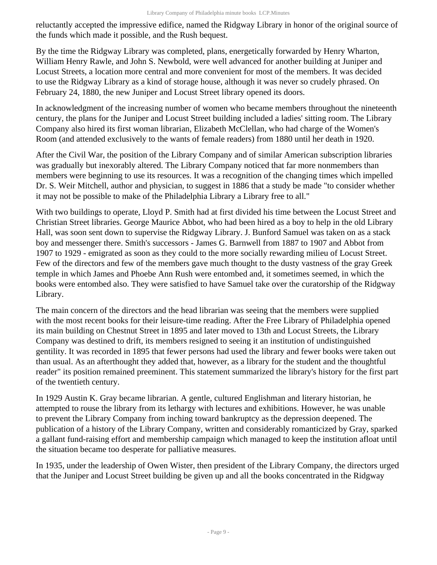reluctantly accepted the impressive edifice, named the Ridgway Library in honor of the original source of the funds which made it possible, and the Rush bequest.

By the time the Ridgway Library was completed, plans, energetically forwarded by Henry Wharton, William Henry Rawle, and John S. Newbold, were well advanced for another building at Juniper and Locust Streets, a location more central and more convenient for most of the members. It was decided to use the Ridgway Library as a kind of storage house, although it was never so crudely phrased. On February 24, 1880, the new Juniper and Locust Street library opened its doors.

In acknowledgment of the increasing number of women who became members throughout the nineteenth century, the plans for the Juniper and Locust Street building included a ladies' sitting room. The Library Company also hired its first woman librarian, Elizabeth McClellan, who had charge of the Women's Room (and attended exclusively to the wants of female readers) from 1880 until her death in 1920.

After the Civil War, the position of the Library Company and of similar American subscription libraries was gradually but inexorably altered. The Library Company noticed that far more nonmembers than members were beginning to use its resources. It was a recognition of the changing times which impelled Dr. S. Weir Mitchell, author and physician, to suggest in 1886 that a study be made "to consider whether it may not be possible to make of the Philadelphia Library a Library free to all."

With two buildings to operate, Lloyd P. Smith had at first divided his time between the Locust Street and Christian Street libraries. George Maurice Abbot, who had been hired as a boy to help in the old Library Hall, was soon sent down to supervise the Ridgway Library. J. Bunford Samuel was taken on as a stack boy and messenger there. Smith's successors - James G. Barnwell from 1887 to 1907 and Abbot from 1907 to 1929 - emigrated as soon as they could to the more socially rewarding milieu of Locust Street. Few of the directors and few of the members gave much thought to the dusty vastness of the gray Greek temple in which James and Phoebe Ann Rush were entombed and, it sometimes seemed, in which the books were entombed also. They were satisfied to have Samuel take over the curatorship of the Ridgway Library.

The main concern of the directors and the head librarian was seeing that the members were supplied with the most recent books for their leisure-time reading. After the Free Library of Philadelphia opened its main building on Chestnut Street in 1895 and later moved to 13th and Locust Streets, the Library Company was destined to drift, its members resigned to seeing it an institution of undistinguished gentility. It was recorded in 1895 that fewer persons had used the library and fewer books were taken out than usual. As an afterthought they added that, however, as a library for the student and the thoughtful reader" its position remained preeminent. This statement summarized the library's history for the first part of the twentieth century.

In 1929 Austin K. Gray became librarian. A gentle, cultured Englishman and literary historian, he attempted to rouse the library from its lethargy with lectures and exhibitions. However, he was unable to prevent the Library Company from inching toward bankruptcy as the depression deepened. The publication of a history of the Library Company, written and considerably romanticized by Gray, sparked a gallant fund-raising effort and membership campaign which managed to keep the institution afloat until the situation became too desperate for palliative measures.

In 1935, under the leadership of Owen Wister, then president of the Library Company, the directors urged that the Juniper and Locust Street building be given up and all the books concentrated in the Ridgway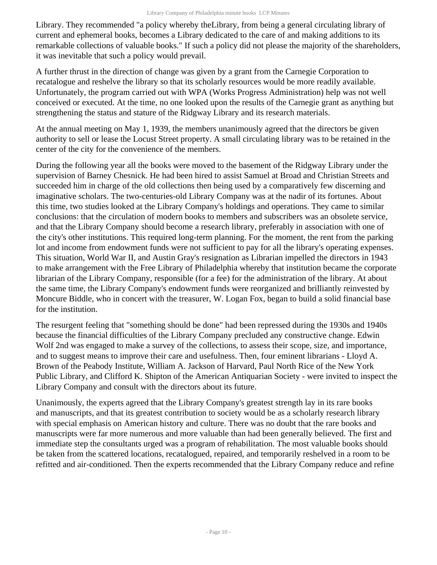Library. They recommended "a policy whereby theLibrary, from being a general circulating library of current and ephemeral books, becomes a Library dedicated to the care of and making additions to its remarkable collections of valuable books." If such a policy did not please the majority of the shareholders, it was inevitable that such a policy would prevail.

A further thrust in the direction of change was given by a grant from the Carnegie Corporation to recatalogue and reshelve the library so that its scholarly resources would be more readily available. Unfortunately, the program carried out with WPA (Works Progress Administration) help was not well conceived or executed. At the time, no one looked upon the results of the Carnegie grant as anything but strengthening the status and stature of the Ridgway Library and its research materials.

At the annual meeting on May 1, 1939, the members unanimously agreed that the directors be given authority to sell or lease the Locust Street property. A small circulating library was to be retained in the center of the city for the convenience of the members.

During the following year all the books were moved to the basement of the Ridgway Library under the supervision of Barney Chesnick. He had been hired to assist Samuel at Broad and Christian Streets and succeeded him in charge of the old collections then being used by a comparatively few discerning and imaginative scholars. The two-centuries-old Library Company was at the nadir of its fortunes. About this time, two studies looked at the Library Company's holdings and operations. They came to similar conclusions: that the circulation of modern books to members and subscribers was an obsolete service, and that the Library Company should become a research library, preferably in association with one of the city's other institutions. This required long-term planning. For the moment, the rent from the parking lot and income from endowment funds were not sufficient to pay for all the library's operating expenses. This situation, World War II, and Austin Gray's resignation as Librarian impelled the directors in 1943 to make arrangement with the Free Library of Philadelphia whereby that institution became the corporate librarian of the Library Company, responsible (for a fee) for the administration of the library. At about the same time, the Library Company's endowment funds were reorganized and brilliantly reinvested by Moncure Biddle, who in concert with the treasurer, W. Logan Fox, began to build a solid financial base for the institution.

The resurgent feeling that "something should be done" had been repressed during the 1930s and 1940s because the financial difficulties of the Library Company precluded any constructive change. Edwin Wolf 2nd was engaged to make a survey of the collections, to assess their scope, size, and importance, and to suggest means to improve their care and usefulness. Then, four eminent librarians - Lloyd A. Brown of the Peabody Institute, William A. Jackson of Harvard, Paul North Rice of the New York Public Library, and Clifford K. Shipton of the American Antiquarian Society - were invited to inspect the Library Company and consult with the directors about its future.

Unanimously, the experts agreed that the Library Company's greatest strength lay in its rare books and manuscripts, and that its greatest contribution to society would be as a scholarly research library with special emphasis on American history and culture. There was no doubt that the rare books and manuscripts were far more numerous and more valuable than had been generally believed. The first and immediate step the consultants urged was a program of rehabilitation. The most valuable books should be taken from the scattered locations, recatalogued, repaired, and temporarily reshelved in a room to be refitted and air-conditioned. Then the experts recommended that the Library Company reduce and refine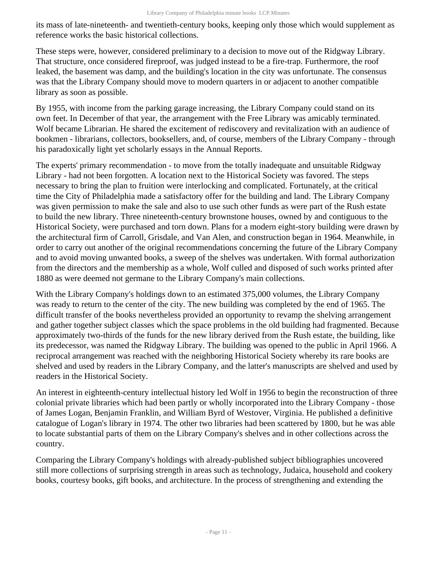its mass of late-nineteenth- and twentieth-century books, keeping only those which would supplement as reference works the basic historical collections.

These steps were, however, considered preliminary to a decision to move out of the Ridgway Library. That structure, once considered fireproof, was judged instead to be a fire-trap. Furthermore, the roof leaked, the basement was damp, and the building's location in the city was unfortunate. The consensus was that the Library Company should move to modern quarters in or adjacent to another compatible library as soon as possible.

By 1955, with income from the parking garage increasing, the Library Company could stand on its own feet. In December of that year, the arrangement with the Free Library was amicably terminated. Wolf became Librarian. He shared the excitement of rediscovery and revitalization with an audience of bookmen - librarians, collectors, booksellers, and, of course, members of the Library Company - through his paradoxically light yet scholarly essays in the Annual Reports.

The experts' primary recommendation - to move from the totally inadequate and unsuitable Ridgway Library - had not been forgotten. A location next to the Historical Society was favored. The steps necessary to bring the plan to fruition were interlocking and complicated. Fortunately, at the critical time the City of Philadelphia made a satisfactory offer for the building and land. The Library Company was given permission to make the sale and also to use such other funds as were part of the Rush estate to build the new library. Three nineteenth-century brownstone houses, owned by and contiguous to the Historical Society, were purchased and torn down. Plans for a modern eight-story building were drawn by the architectural firm of Carroll, Grisdale, and Van Alen, and construction began in 1964. Meanwhile, in order to carry out another of the original recommendations concerning the future of the Library Company and to avoid moving unwanted books, a sweep of the shelves was undertaken. With formal authorization from the directors and the membership as a whole, Wolf culled and disposed of such works printed after 1880 as were deemed not germane to the Library Company's main collections.

With the Library Company's holdings down to an estimated 375,000 volumes, the Library Company was ready to return to the center of the city. The new building was completed by the end of 1965. The difficult transfer of the books nevertheless provided an opportunity to revamp the shelving arrangement and gather together subject classes which the space problems in the old building had fragmented. Because approximately two-thirds of the funds for the new library derived from the Rush estate, the building, like its predecessor, was named the Ridgway Library. The building was opened to the public in April 1966. A reciprocal arrangement was reached with the neighboring Historical Society whereby its rare books are shelved and used by readers in the Library Company, and the latter's manuscripts are shelved and used by readers in the Historical Society.

An interest in eighteenth-century intellectual history led Wolf in 1956 to begin the reconstruction of three colonial private libraries which had been partly or wholly incorporated into the Library Company - those of James Logan, Benjamin Franklin, and William Byrd of Westover, Virginia. He published a definitive catalogue of Logan's library in 1974. The other two libraries had been scattered by 1800, but he was able to locate substantial parts of them on the Library Company's shelves and in other collections across the country.

Comparing the Library Company's holdings with already-published subject bibliographies uncovered still more collections of surprising strength in areas such as technology, Judaica, household and cookery books, courtesy books, gift books, and architecture. In the process of strengthening and extending the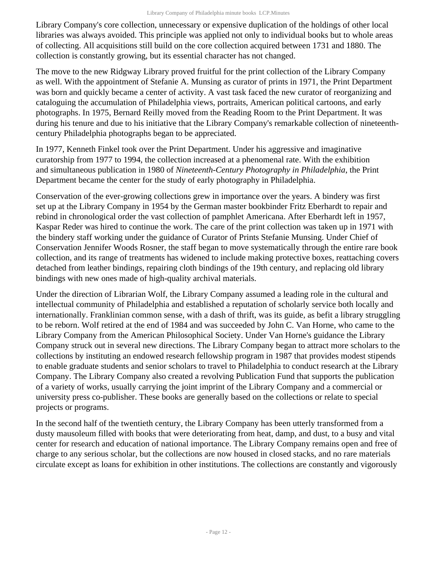Library Company's core collection, unnecessary or expensive duplication of the holdings of other local libraries was always avoided. This principle was applied not only to individual books but to whole areas of collecting. All acquisitions still build on the core collection acquired between 1731 and 1880. The collection is constantly growing, but its essential character has not changed.

The move to the new Ridgway Library proved fruitful for the print collection of the Library Company as well. With the appointment of Stefanie A. Munsing as curator of prints in 1971, the Print Department was born and quickly became a center of activity. A vast task faced the new curator of reorganizing and cataloguing the accumulation of Philadelphia views, portraits, American political cartoons, and early photographs. In 1975, Bernard Reilly moved from the Reading Room to the Print Department. It was during his tenure and due to his initiative that the Library Company's remarkable collection of nineteenthcentury Philadelphia photographs began to be appreciated.

In 1977, Kenneth Finkel took over the Print Department. Under his aggressive and imaginative curatorship from 1977 to 1994, the collection increased at a phenomenal rate. With the exhibition and simultaneous publication in 1980 of *Nineteenth-Century Photography in Philadelphia*, the Print Department became the center for the study of early photography in Philadelphia.

Conservation of the ever-growing collections grew in importance over the years. A bindery was first set up at the Library Company in 1954 by the German master bookbinder Fritz Eberhardt to repair and rebind in chronological order the vast collection of pamphlet Americana. After Eberhardt left in 1957, Kaspar Reder was hired to continue the work. The care of the print collection was taken up in 1971 with the bindery staff working under the guidance of Curator of Prints Stefanie Munsing. Under Chief of Conservation Jennifer Woods Rosner, the staff began to move systematically through the entire rare book collection, and its range of treatments has widened to include making protective boxes, reattaching covers detached from leather bindings, repairing cloth bindings of the 19th century, and replacing old library bindings with new ones made of high-quality archival materials.

Under the direction of Librarian Wolf, the Library Company assumed a leading role in the cultural and intellectual community of Philadelphia and established a reputation of scholarly service both locally and internationally. Franklinian common sense, with a dash of thrift, was its guide, as befit a library struggling to be reborn. Wolf retired at the end of 1984 and was succeeded by John C. Van Horne, who came to the Library Company from the American Philosophical Society. Under Van Horne's guidance the Library Company struck out in several new directions. The Library Company began to attract more scholars to the collections by instituting an endowed research fellowship program in 1987 that provides modest stipends to enable graduate students and senior scholars to travel to Philadelphia to conduct research at the Library Company. The Library Company also created a revolving Publication Fund that supports the publication of a variety of works, usually carrying the joint imprint of the Library Company and a commercial or university press co-publisher. These books are generally based on the collections or relate to special projects or programs.

In the second half of the twentieth century, the Library Company has been utterly transformed from a dusty mausoleum filled with books that were deteriorating from heat, damp, and dust, to a busy and vital center for research and education of national importance. The Library Company remains open and free of charge to any serious scholar, but the collections are now housed in closed stacks, and no rare materials circulate except as loans for exhibition in other institutions. The collections are constantly and vigorously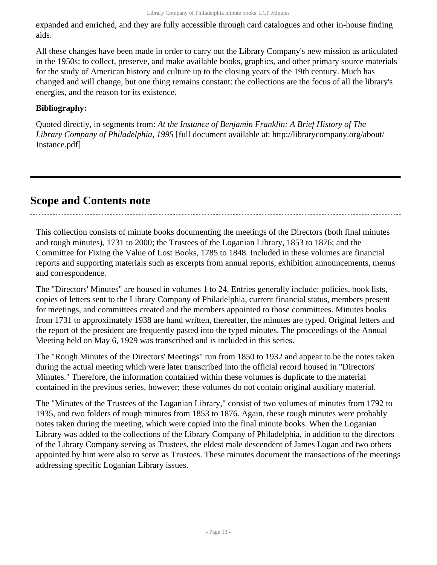expanded and enriched, and they are fully accessible through card catalogues and other in-house finding aids.

All these changes have been made in order to carry out the Library Company's new mission as articulated in the 1950s: to collect, preserve, and make available books, graphics, and other primary source materials for the study of American history and culture up to the closing years of the 19th century. Much has changed and will change, but one thing remains constant: the collections are the focus of all the library's energies, and the reason for its existence.

### **Bibliography:**

Quoted directly, in segments from: *At the Instance of Benjamin Franklin: A Brief History of The Library Company of Philadelphia, 1995* [full document available at: http://librarycompany.org/about/ Instance.pdf]

## <span id="page-12-0"></span>**Scope and Contents note**

This collection consists of minute books documenting the meetings of the Directors (both final minutes and rough minutes), 1731 to 2000; the Trustees of the Loganian Library, 1853 to 1876; and the Committee for Fixing the Value of Lost Books, 1785 to 1848. Included in these volumes are financial reports and supporting materials such as excerpts from annual reports, exhibition announcements, menus and correspondence.

The "Directors' Minutes" are housed in volumes 1 to 24. Entries generally include: policies, book lists, copies of letters sent to the Library Company of Philadelphia, current financial status, members present for meetings, and committees created and the members appointed to those committees. Minutes books from 1731 to approximately 1938 are hand written, thereafter, the minutes are typed. Original letters and the report of the president are frequently pasted into the typed minutes. The proceedings of the Annual Meeting held on May 6, 1929 was transcribed and is included in this series.

The "Rough Minutes of the Directors' Meetings" run from 1850 to 1932 and appear to be the notes taken during the actual meeting which were later transcribed into the official record housed in "Directors' Minutes." Therefore, the information contained within these volumes is duplicate to the material contained in the previous series, however; these volumes do not contain original auxiliary material.

The "Minutes of the Trustees of the Loganian Library," consist of two volumes of minutes from 1792 to 1935, and two folders of rough minutes from 1853 to 1876. Again, these rough minutes were probably notes taken during the meeting, which were copied into the final minute books. When the Loganian Library was added to the collections of the Library Company of Philadelphia, in addition to the directors of the Library Company serving as Trustees, the eldest male descendent of James Logan and two others appointed by him were also to serve as Trustees. These minutes document the transactions of the meetings addressing specific Loganian Library issues.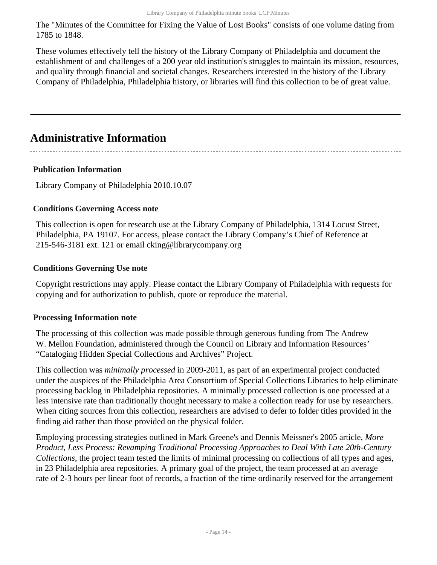The "Minutes of the Committee for Fixing the Value of Lost Books" consists of one volume dating from 1785 to 1848.

These volumes effectively tell the history of the Library Company of Philadelphia and document the establishment of and challenges of a 200 year old institution's struggles to maintain its mission, resources, and quality through financial and societal changes. Researchers interested in the history of the Library Company of Philadelphia, Philadelphia history, or libraries will find this collection to be of great value.

## <span id="page-13-0"></span>**Administrative Information**

#### **Publication Information**

Library Company of Philadelphia 2010.10.07

#### **Conditions Governing Access note**

This collection is open for research use at the Library Company of Philadelphia, 1314 Locust Street, Philadelphia, PA 19107. For access, please contact the Library Company's Chief of Reference at 215-546-3181 ext. 121 or email cking@librarycompany.org

#### **Conditions Governing Use note**

Copyright restrictions may apply. Please contact the Library Company of Philadelphia with requests for copying and for authorization to publish, quote or reproduce the material.

#### **Processing Information note**

The processing of this collection was made possible through generous funding from The Andrew W. Mellon Foundation, administered through the Council on Library and Information Resources' "Cataloging Hidden Special Collections and Archives" Project.

This collection was *minimally processed* in 2009-2011, as part of an experimental project conducted under the auspices of the Philadelphia Area Consortium of Special Collections Libraries to help eliminate processing backlog in Philadelphia repositories. A minimally processed collection is one processed at a less intensive rate than traditionally thought necessary to make a collection ready for use by researchers. When citing sources from this collection, researchers are advised to defer to folder titles provided in the finding aid rather than those provided on the physical folder.

Employing processing strategies outlined in Mark Greene's and Dennis Meissner's 2005 article, *More Product, Less Process: Revamping Traditional Processing Approaches to Deal With Late 20th-Century Collections*, the project team tested the limits of minimal processing on collections of all types and ages, in 23 Philadelphia area repositories. A primary goal of the project, the team processed at an average rate of 2-3 hours per linear foot of records, a fraction of the time ordinarily reserved for the arrangement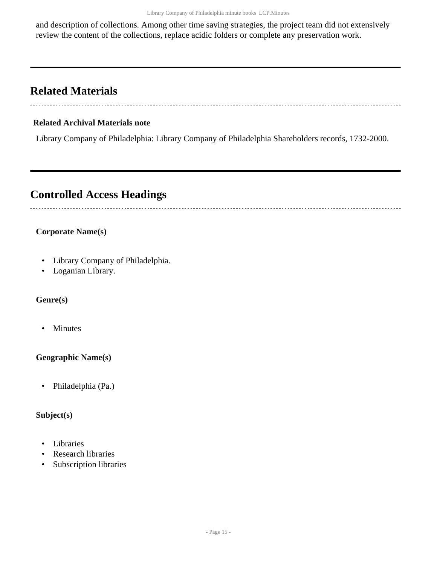and description of collections. Among other time saving strategies, the project team did not extensively review the content of the collections, replace acidic folders or complete any preservation work.

## <span id="page-14-0"></span>**Related Materials**

### **Related Archival Materials note**

Library Company of Philadelphia: Library Company of Philadelphia Shareholders records, 1732-2000.

## <span id="page-14-1"></span>**Controlled Access Headings**

### **Corporate Name(s)**

- Library Company of Philadelphia.
- Loganian Library.

### **Genre(s)**

• Minutes

#### **Geographic Name(s)**

• Philadelphia (Pa.)

#### **Subject(s)**

- Libraries
- Research libraries
- Subscription libraries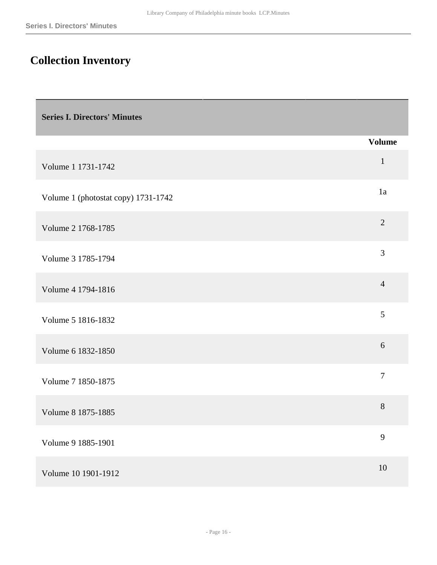# <span id="page-15-0"></span>**Collection Inventory**

<span id="page-15-1"></span>

| <b>Series I. Directors' Minutes</b> |                |
|-------------------------------------|----------------|
|                                     | <b>Volume</b>  |
| Volume 1 1731-1742                  | $\mathbf{1}$   |
| Volume 1 (photostat copy) 1731-1742 | 1a             |
| Volume 2 1768-1785                  | $\overline{2}$ |
| Volume 3 1785-1794                  | 3              |
| Volume 4 1794-1816                  | $\overline{4}$ |
| Volume 5 1816-1832                  | 5              |
| Volume 6 1832-1850                  | 6              |
| Volume 7 1850-1875                  | $\tau$         |
| Volume 8 1875-1885                  | 8              |
| Volume 9 1885-1901                  | 9              |
| Volume 10 1901-1912                 | $10\,$         |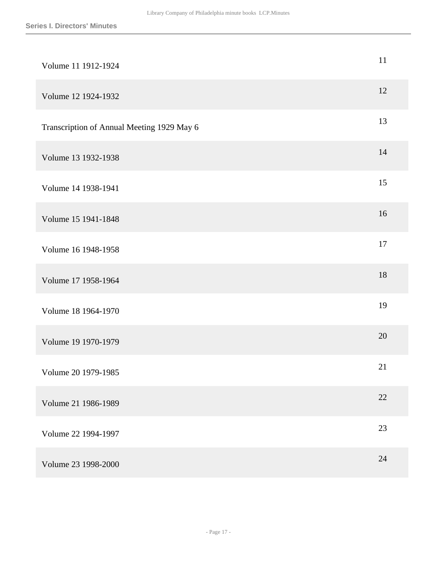| Volume 11 1912-1924                        | 11 |
|--------------------------------------------|----|
| Volume 12 1924-1932                        | 12 |
| Transcription of Annual Meeting 1929 May 6 | 13 |
| Volume 13 1932-1938                        | 14 |
| Volume 14 1938-1941                        | 15 |
| Volume 15 1941-1848                        | 16 |
| Volume 16 1948-1958                        | 17 |
| Volume 17 1958-1964                        | 18 |
| Volume 18 1964-1970                        | 19 |
| Volume 19 1970-1979                        | 20 |
| Volume 20 1979-1985                        | 21 |
| Volume 21 1986-1989                        | 22 |
| Volume 22 1994-1997                        | 23 |
| Volume 23 1998-2000                        | 24 |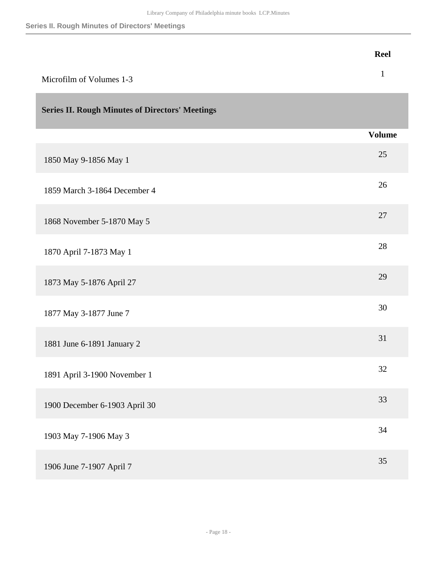**Series II. Rough Minutes of Directors' Meetings**

<span id="page-17-0"></span>

|                                                        | <b>Reel</b>   |
|--------------------------------------------------------|---------------|
| Microfilm of Volumes 1-3                               | $\mathbf{1}$  |
| <b>Series II. Rough Minutes of Directors' Meetings</b> |               |
|                                                        | <b>Volume</b> |
| 1850 May 9-1856 May 1                                  | 25            |
| 1859 March 3-1864 December 4                           | 26            |
| 1868 November 5-1870 May 5                             | 27            |
| 1870 April 7-1873 May 1                                | 28            |
| 1873 May 5-1876 April 27                               | 29            |
| 1877 May 3-1877 June 7                                 | 30            |
| 1881 June 6-1891 January 2                             | 31            |
| 1891 April 3-1900 November 1                           | 32            |
| 1900 December 6-1903 April 30                          | 33            |
| 1903 May 7-1906 May 3                                  | 34            |
| 1906 June 7-1907 April 7                               | 35            |